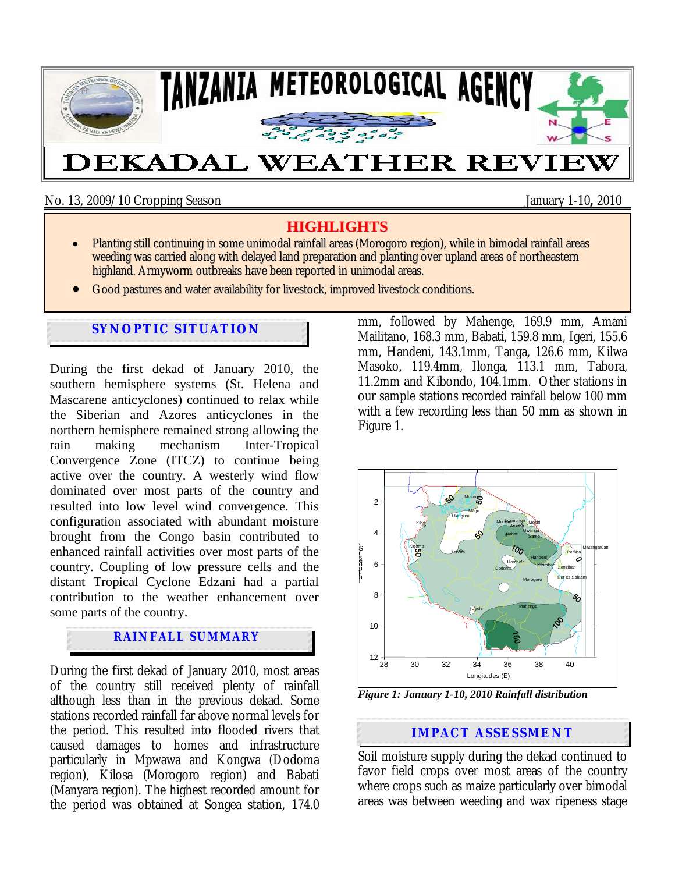

No. 13, 2009/10 Cropping Season January 1-10**,** 2010

# **HIGHLIGHTS**

- Planting still continuing in some unimodal rainfall areas (Morogoro region), while in bimodal rainfall areas weeding was carried along with delayed land preparation and planting over upland areas of northeastern highland. Armyworm outbreaks have been reported in unimodal areas.
- Good pastures and water availability for livestock, improved livestock conditions.

# **SYNOPTIC SITUATION**

During the first dekad of January 2010, the southern hemisphere systems (St. Helena and Mascarene anticyclones) continued to relax while the Siberian and Azores anticyclones in the northern hemisphere remained strong allowing the rain making mechanism Inter-Tropical Convergence Zone (ITCZ) to continue being active over the country. A westerly wind flow dominated over most parts of the country and resulted into low level wind convergence. This configuration associated with abundant moisture brought from the Congo basin contributed to enhanced rainfall activities over most parts of the country. Coupling of low pressure cells and the distant Tropical Cyclone Edzani had a partial contribution to the weather enhancement over some parts of the country.

# **RAINFALL SUMMARY**

During the first dekad of January 2010, most areas of the country still received plenty of rainfall although less than in the previous dekad. Some stations recorded rainfall far above normal levels for the period. This resulted into flooded rivers that caused damages to homes and infrastructure particularly in Mpwawa and Kongwa (Dodoma region), Kilosa (Morogoro region) and Babati (Manyara region). The highest recorded amount for the period was obtained at Songea station, 174.0 mm, followed by Mahenge, 169.9 mm, Amani Mailitano, 168.3 mm, Babati, 159.8 mm, Igeri, 155.6 mm, Handeni, 143.1mm, Tanga, 126.6 mm, Kilwa Masoko, 119.4mm, Ilonga, 113.1 mm, Tabora, 11.2mm and Kibondo, 104.1mm. Other stations in our sample stations recorded rainfall below 100 mm with a few recording less than 50 mm as shown in Figure 1.



*Figure 1: January 1-10, 2010 Rainfall distribution* 

#### $A$ and and chompoonding **IMPACT ASSESSMENT**

Soil moisture supply during the dekad continued to favor field crops over most areas of the country where crops such as maize particularly over bimodal areas was between weeding and wax ripeness stage